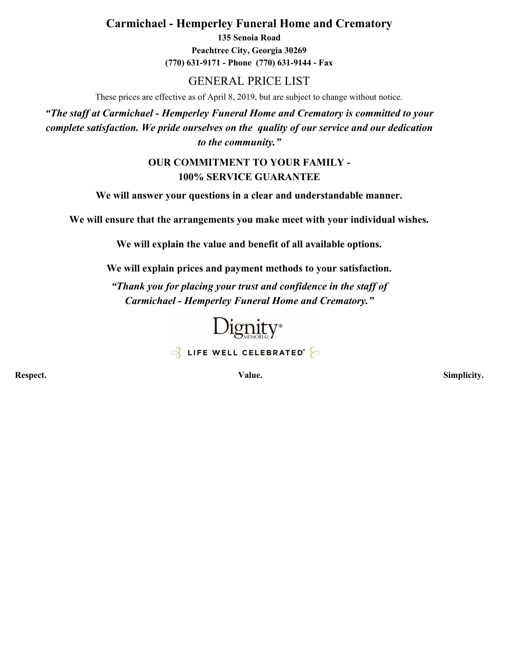**Carmichael - Hemperley Funeral Home and Crematory**

**135 Senoia Road Peachtree City, Georgia 30269 (770) 631-9171 - Phone (770) 631-9144 - Fax**

### GENERAL PRICE LIST

These prices are effective as of April 8, 2019, but are subject to change without notice.

*"The staff at Carmichael - Hemperley Funeral Home and Crematory is committed to your complete satisfaction. We pride ourselves on the quality of our service and our dedication to the community."*

### **OUR COMMITMENT TO YOUR FAMILY - 100% SERVICE GUARANTEE**

**We will answer your questions in a clear and understandable manner.**

**We will ensure that the arrangements you make meet with your individual wishes.**

**We will explain the value and benefit of all available options.**

**We will explain prices and payment methods to your satisfaction.**

*"Thank you for placing your trust and confidence in the staff of Carmichael - Hemperley Funeral Home and Crematory."*



 $\beta$  LIFE WELL CELEBRATED<sup>®</sup>

**Respect. Value. Simplicity.**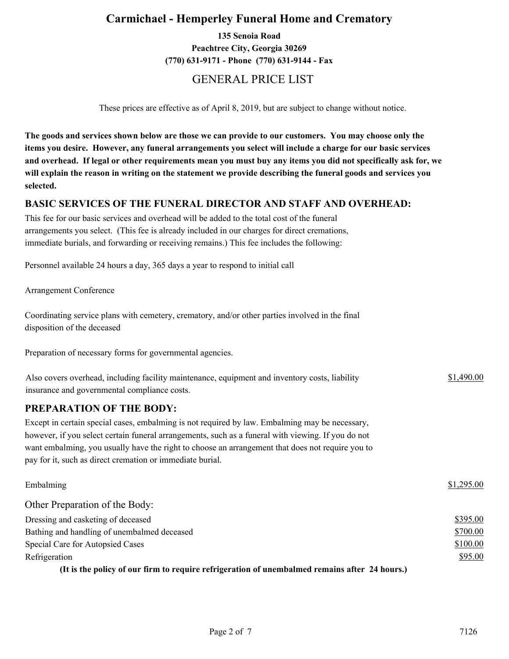### **Carmichael - Hemperley Funeral Home and Crematory**

**135 Senoia Road Peachtree City, Georgia 30269 (770) 631-9171 - Phone (770) 631-9144 - Fax**

### GENERAL PRICE LIST

These prices are effective as of April 8, 2019, but are subject to change without notice.

**The goods and services shown below are those we can provide to our customers. You may choose only the items you desire. However, any funeral arrangements you select will include a charge for our basic services and overhead. If legal or other requirements mean you must buy any items you did not specifically ask for, we will explain the reason in writing on the statement we provide describing the funeral goods and services you selected.**

#### **BASIC SERVICES OF THE FUNERAL DIRECTOR AND STAFF AND OVERHEAD:**

This fee for our basic services and overhead will be added to the total cost of the funeral arrangements you select. (This fee is already included in our charges for direct cremations, immediate burials, and forwarding or receiving remains.) This fee includes the following:

Personnel available 24 hours a day, 365 days a year to respond to initial call

Arrangement Conference

Coordinating service plans with cemetery, crematory, and/or other parties involved in the final disposition of the deceased

Preparation of necessary forms for governmental agencies.

| Also covers overhead, including facility maintenance, equipment and inventory costs, liability | \$1,490.00 |
|------------------------------------------------------------------------------------------------|------------|
| insurance and governmental compliance costs.                                                   |            |

#### **PREPARATION OF THE BODY:**

Except in certain special cases, embalming is not required by law. Embalming may be necessary, however, if you select certain funeral arrangements, such as a funeral with viewing. If you do not want embalming, you usually have the right to choose an arrangement that does not require you to pay for it, such as direct cremation or immediate burial.

| Embalming                                                                                       | \$1,295.00 |
|-------------------------------------------------------------------------------------------------|------------|
| Other Preparation of the Body:                                                                  |            |
| Dressing and casketing of deceased                                                              | \$395.00   |
| Bathing and handling of unembalmed deceased                                                     | \$700.00   |
| Special Care for Autopsied Cases                                                                | \$100.00   |
| Refrigeration                                                                                   | \$95.00    |
| (It is the neligy of our firm to require refrigeration of unembolised remains often $24$ hours) |            |

**(It is the policy of our firm to require refrigeration of unembalmed remains after 24 hours.)**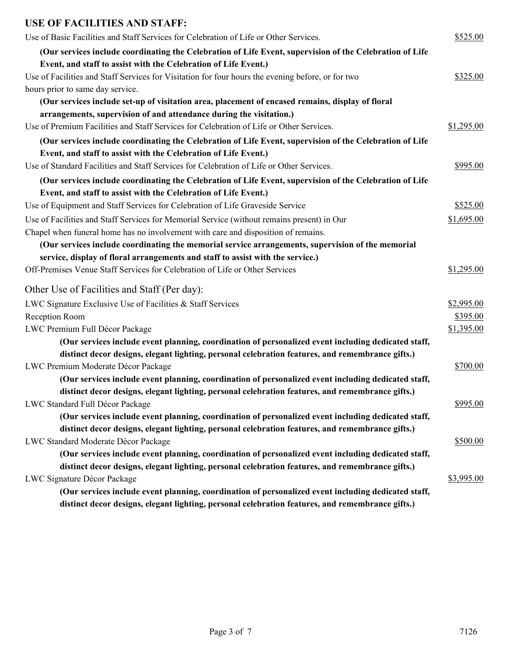### **USE OF FACILITIES AND STAFF:**

| Use of Basic Facilities and Staff Services for Celebration of Life or Other Services.                    | \$525.00   |
|----------------------------------------------------------------------------------------------------------|------------|
| (Our services include coordinating the Celebration of Life Event, supervision of the Celebration of Life |            |
| Event, and staff to assist with the Celebration of Life Event.)                                          |            |
| Use of Facilities and Staff Services for Visitation for four hours the evening before, or for two        | \$325.00   |
| hours prior to same day service.                                                                         |            |
| (Our services include set-up of visitation area, placement of encased remains, display of floral         |            |
| arrangements, supervision of and attendance during the visitation.)                                      |            |
| Use of Premium Facilities and Staff Services for Celebration of Life or Other Services.                  | \$1,295.00 |
| (Our services include coordinating the Celebration of Life Event, supervision of the Celebration of Life |            |
| Event, and staff to assist with the Celebration of Life Event.)                                          |            |
| Use of Standard Facilities and Staff Services for Celebration of Life or Other Services.                 | \$995.00   |
| (Our services include coordinating the Celebration of Life Event, supervision of the Celebration of Life |            |
| Event, and staff to assist with the Celebration of Life Event.)                                          |            |
| Use of Equipment and Staff Services for Celebration of Life Graveside Service                            | \$525.00   |
| Use of Facilities and Staff Services for Memorial Service (without remains present) in Our               | \$1,695.00 |
| Chapel when funeral home has no involvement with care and disposition of remains.                        |            |
| (Our services include coordinating the memorial service arrangements, supervision of the memorial        |            |
| service, display of floral arrangements and staff to assist with the service.)                           |            |
| Off-Premises Venue Staff Services for Celebration of Life or Other Services                              | \$1,295.00 |
| Other Use of Facilities and Staff (Per day):                                                             |            |
| LWC Signature Exclusive Use of Facilities & Staff Services                                               | \$2,995.00 |
| Reception Room                                                                                           | \$395.00   |
| LWC Premium Full Décor Package                                                                           | \$1,395.00 |
| (Our services include event planning, coordination of personalized event including dedicated staff,      |            |
| distinct decor designs, elegant lighting, personal celebration features, and remembrance gifts.)         |            |
| LWC Premium Moderate Décor Package                                                                       | \$700.00   |
| (Our services include event planning, coordination of personalized event including dedicated staff,      |            |
| distinct decor designs, elegant lighting, personal celebration features, and remembrance gifts.)         |            |
| LWC Standard Full Décor Package                                                                          | \$995.00   |
| (Our services include event planning, coordination of personalized event including dedicated staff,      |            |
| distinct decor designs, elegant lighting, personal celebration features, and remembrance gifts.)         |            |
| LWC Standard Moderate Décor Package                                                                      | \$500.00   |
| (Our services include event planning, coordination of personalized event including dedicated staff,      |            |
| distinct decor designs, elegant lighting, personal celebration features, and remembrance gifts.)         |            |
| LWC Signature Décor Package                                                                              | \$3,995.00 |
| (Our services include event planning, coordination of personalized event including dedicated staff,      |            |
| distinct decor designs, elegant lighting, personal celebration features, and remembrance gifts.)         |            |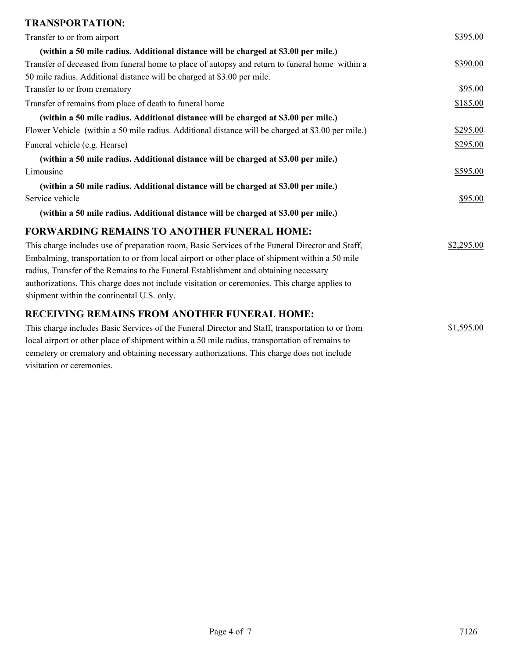## **TRANSPORTATION:**

| Transfer to or from airport                                                                       | \$395.00   |
|---------------------------------------------------------------------------------------------------|------------|
| (within a 50 mile radius. Additional distance will be charged at \$3.00 per mile.)                |            |
| Transfer of deceased from funeral home to place of autopsy and return to funeral home within a    | \$390.00   |
| 50 mile radius. Additional distance will be charged at \$3.00 per mile.                           |            |
| Transfer to or from crematory                                                                     | \$95.00    |
| Transfer of remains from place of death to funeral home                                           | \$185.00   |
| (within a 50 mile radius. Additional distance will be charged at \$3.00 per mile.)                |            |
| Flower Vehicle (within a 50 mile radius. Additional distance will be charged at \$3.00 per mile.) | \$295.00   |
| Funeral vehicle (e.g. Hearse)                                                                     | \$295.00   |
| (within a 50 mile radius. Additional distance will be charged at \$3.00 per mile.)                |            |
| Limousine                                                                                         | \$595.00   |
| (within a 50 mile radius. Additional distance will be charged at \$3.00 per mile.)                |            |
| Service vehicle                                                                                   | \$95.00    |
| (within a 50 mile radius. Additional distance will be charged at \$3.00 per mile.)                |            |
| <b>FORWARDING REMAINS TO ANOTHER FUNERAL HOME:</b>                                                |            |
| This charge includes use of preparation room, Basic Services of the Funeral Director and Staff,   | \$2,295.00 |
| Embalming, transportation to or from local airport or other place of shipment within a 50 mile    |            |
| radius, Transfer of the Remains to the Funeral Establishment and obtaining necessary              |            |
| authorizations. This charge does not include visitation or ceremonies. This charge applies to     |            |
| shipment within the continental U.S. only.                                                        |            |
| <b>RECEIVING REMAINS FROM ANOTHER FUNERAL HOME:</b>                                               |            |
| This charge includes Basic Services of the Funeral Director and Staff, transportation to or from  | \$1,595.00 |
| local airport or other place of shipment within a 50 mile radius, transportation of remains to    |            |
| cemetery or crematory and obtaining necessary authorizations. This charge does not include        |            |

visitation or ceremonies.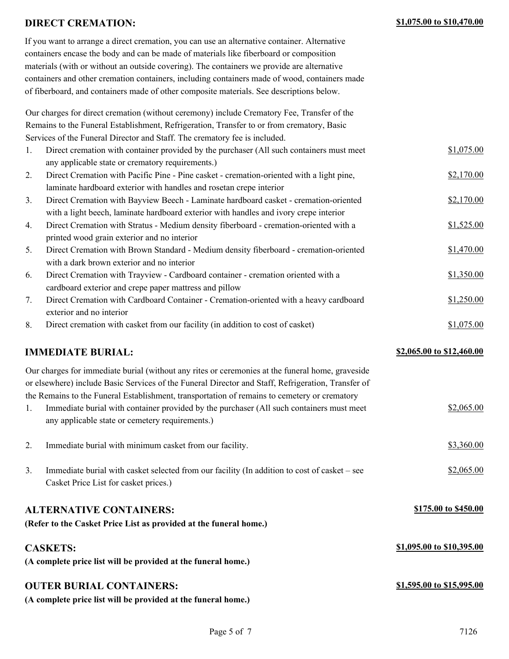#### **DIRECT CREMATION: \$1,075.00 to \$10,470.00**

| If you want to arrange a direct cremation, you can use an alternative container. Alternative  |
|-----------------------------------------------------------------------------------------------|
| containers encase the body and can be made of materials like fiberboard or composition        |
| materials (with or without an outside covering). The containers we provide are alternative    |
| containers and other cremation containers, including containers made of wood, containers made |
| of fiberboard, and containers made of other composite materials. See descriptions below.      |

Our charges for direct cremation (without ceremony) include Crematory Fee, Transfer of the Remains to the Funeral Establishment, Refrigeration, Transfer to or from crematory, Basic Services of the Funeral Director and Staff. The crematory fee is included.

| 1. | Direct cremation with container provided by the purchaser (All such containers must meet | \$1,075.00 |
|----|------------------------------------------------------------------------------------------|------------|
|    | any applicable state or crematory requirements.)                                         |            |
| 2. | Direct Cremation with Pacific Pine - Pine casket - cremation-oriented with a light pine, | \$2,170.00 |
|    | laminate hardboard exterior with handles and rosetan crepe interior                      |            |
| 3. | Direct Cremation with Bayview Beech - Laminate hardboard casket - cremation-oriented     | \$2,170.00 |
|    | with a light beech, laminate hardboard exterior with handles and ivory crepe interior    |            |
| 4. | Direct Cremation with Stratus - Medium density fiberboard - cremation-oriented with a    | \$1,525.00 |
|    | printed wood grain exterior and no interior                                              |            |
| 5. | Direct Cremation with Brown Standard - Medium density fiberboard - cremation-oriented    | \$1,470.00 |
|    | with a dark brown exterior and no interior                                               |            |
| 6. | Direct Cremation with Trayview - Cardboard container - cremation oriented with a         | \$1,350.00 |
|    | cardboard exterior and crepe paper mattress and pillow                                   |            |
|    | Direct Cremation with Cardboard Container - Cremation-oriented with a heavy cardboard    | \$1,250.00 |
|    |                                                                                          |            |

8. Direct cremation with casket from our facility (in addition to cost of casket) \$1,075.00

**IMMEDIATE BURIAL:**  $\frac{$2,065.00 \text{ to } $12,460.00}{2000 \text{ to } $12,460.00}$ 

exterior and no interior

Our charges for immediate burial (without any rites or ceremonies at the funeral home, graveside or elsewhere) include Basic Services of the Funeral Director and Staff, Refrigeration, Transfer of the Remains to the Funeral Establishment, transportation of remains to cemetery or crematory

- 1. Immediate burial with container provided by the purchaser (All such containers must meet  $\frac{$2,065.00}{2}$ any applicable state or cemetery requirements.)
- 2. Immediate burial with minimum casket from our facility.  $$3,360.00$ 3. Immediate burial with casket selected from our facility (In addition to cost of casket – see  $$2,065.00$
- Casket Price List for casket prices.)

## **ALTERNATIVE CONTAINERS:**

**(Refer to the Casket Price List as provided at the funeral home.)**

#### **CASKETS:**

**(A complete price list will be provided at the funeral home.)**

# **OUTER BURIAL CONTAINERS:**

**(A complete price list will be provided at the funeral home.)**

**\$175.00 to \$450.00**

**\$1,095.00 to \$10,395.00**

**\$1,595.00 to \$15,995.00**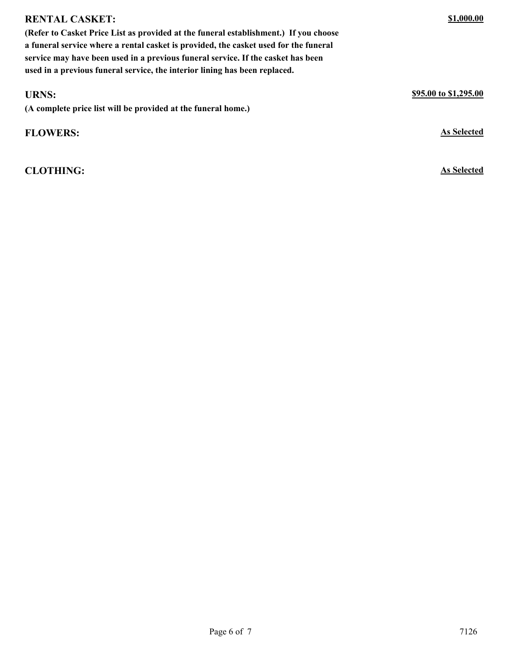| (Refer to Casket Price List as provided at the funeral establishment.) If you choose<br>a funeral service where a rental casket is provided, the casket used for the funeral<br>service may have been used in a previous funeral service. If the casket has been |                       |
|------------------------------------------------------------------------------------------------------------------------------------------------------------------------------------------------------------------------------------------------------------------|-----------------------|
| used in a previous funeral service, the interior lining has been replaced.                                                                                                                                                                                       |                       |
| <b>URNS:</b><br>(A complete price list will be provided at the funeral home.)                                                                                                                                                                                    | \$95.00 to \$1,295.00 |
| <b>FLOWERS:</b>                                                                                                                                                                                                                                                  | <b>As Selected</b>    |

**CLOTHING: As Selected**

**RENTAL CASKET:**

**\$1,000.00**